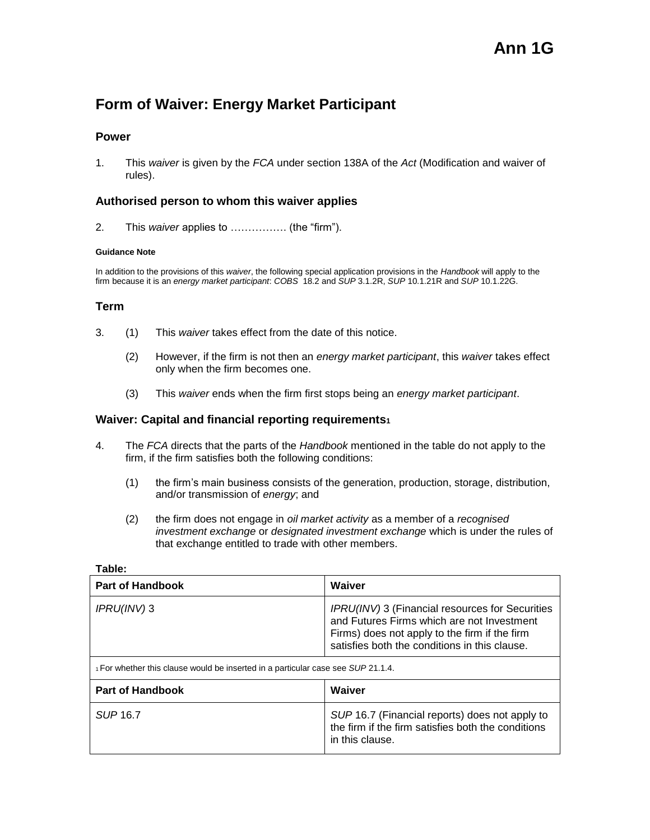# **Form of Waiver: Energy Market Participant**

## **Power**

1. This *waiver* is given by the *FCA* under section 138A of the *Act* (Modification and waiver of rules).

# **Authorised person to whom this waiver applies**

2. This *waiver* applies to ……………. (the "firm").

#### **Guidance Note**

In addition to the provisions of this *waiver*, the following special application provisions in the *Handbook* will apply to the firm because it is an *energy market participant*: *COBS* 18.2 and *SUP* 3.1.2R, *SUP* 10.1.21R and *SUP* 10.1.22G.

### **Term**

- 3. (1) This *waiver* takes effect from the date of this notice.
	- (2) However, if the firm is not then an *energy market participant*, this *waiver* takes effect only when the firm becomes one.
	- (3) This *waiver* ends when the firm first stops being an *energy market participant*.

## **Waiver: Capital and financial reporting requirements<sup>1</sup>**

- 4. The *FCA* directs that the parts of the *Handbook* mentioned in the table do not apply to the firm, if the firm satisfies both the following conditions:
	- (1) the firm's main business consists of the generation, production, storage, distribution, and/or transmission of *energy*; and
	- (2) the firm does not engage in *oil market activity* as a member of a *recognised investment exchange* or *designated investment exchange* which is under the rules of that exchange entitled to trade with other members.

| <b>Part of Handbook</b>                                                          | Waiver                                                                                                                                                                                          |
|----------------------------------------------------------------------------------|-------------------------------------------------------------------------------------------------------------------------------------------------------------------------------------------------|
| $IPRU(INV)$ 3                                                                    | IPRU(INV) 3 (Financial resources for Securities<br>and Futures Firms which are not Investment<br>Firms) does not apply to the firm if the firm<br>satisfies both the conditions in this clause. |
| 1 For whether this clause would be inserted in a particular case see SUP 21.1.4. |                                                                                                                                                                                                 |
| <b>Part of Handbook</b>                                                          | Waiver                                                                                                                                                                                          |
| SUP 16.7                                                                         | SUP 16.7 (Financial reports) does not apply to<br>the firm if the firm satisfies both the conditions<br>in this clause.                                                                         |

#### **Table:**